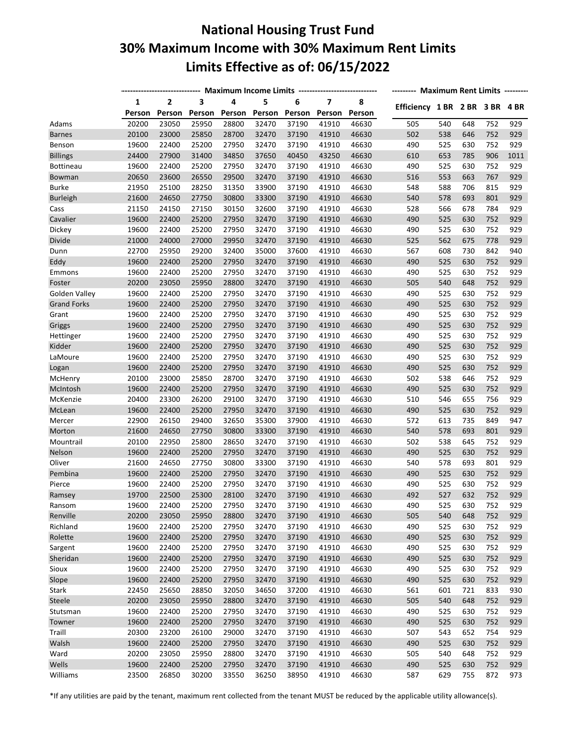## **National Housing Trust Fund 30% Maximum Income with 30% Maximum Rent Limits Limits Effective as of: 06/15/2022**

|                    |        | Maximum Income Limits ---------------------------- | -------- Maximum Rent Limits --------- |        |        |        |                         |        |                                |     |     |     |      |
|--------------------|--------|----------------------------------------------------|----------------------------------------|--------|--------|--------|-------------------------|--------|--------------------------------|-----|-----|-----|------|
|                    | 1      | $\mathbf{2}$                                       | 3                                      | 4      | 5      | 6      | $\overline{\mathbf{z}}$ | 8      |                                |     |     |     |      |
|                    | Person | Person                                             | Person                                 | Person | Person | Person | Person                  | Person | Efficiency 1 BR 2 BR 3 BR 4 BR |     |     |     |      |
| Adams              | 20200  | 23050                                              | 25950                                  | 28800  | 32470  | 37190  | 41910                   | 46630  | 505                            | 540 | 648 | 752 | 929  |
| <b>Barnes</b>      | 20100  | 23000                                              | 25850                                  | 28700  | 32470  | 37190  | 41910                   | 46630  | 502                            | 538 | 646 | 752 | 929  |
| Benson             | 19600  | 22400                                              | 25200                                  | 27950  | 32470  | 37190  | 41910                   | 46630  | 490                            | 525 | 630 | 752 | 929  |
| <b>Billings</b>    | 24400  | 27900                                              | 31400                                  | 34850  | 37650  | 40450  | 43250                   | 46630  | 610                            | 653 | 785 | 906 | 1011 |
| Bottineau          | 19600  | 22400                                              | 25200                                  | 27950  | 32470  | 37190  | 41910                   | 46630  | 490                            | 525 | 630 | 752 | 929  |
| Bowman             | 20650  | 23600                                              | 26550                                  | 29500  | 32470  | 37190  | 41910                   | 46630  | 516                            | 553 | 663 | 767 | 929  |
| <b>Burke</b>       | 21950  | 25100                                              | 28250                                  | 31350  | 33900  | 37190  | 41910                   | 46630  | 548                            | 588 | 706 | 815 | 929  |
| <b>Burleigh</b>    | 21600  | 24650                                              | 27750                                  | 30800  | 33300  | 37190  | 41910                   | 46630  | 540                            | 578 | 693 | 801 | 929  |
| Cass               | 21150  | 24150                                              | 27150                                  | 30150  | 32600  | 37190  | 41910                   | 46630  | 528                            | 566 | 678 | 784 | 929  |
| Cavalier           | 19600  | 22400                                              | 25200                                  | 27950  | 32470  | 37190  | 41910                   | 46630  | 490                            | 525 | 630 | 752 | 929  |
| Dickey             | 19600  | 22400                                              | 25200                                  | 27950  | 32470  | 37190  | 41910                   | 46630  | 490                            | 525 | 630 | 752 | 929  |
| Divide             | 21000  | 24000                                              | 27000                                  | 29950  | 32470  | 37190  | 41910                   | 46630  | 525                            | 562 | 675 | 778 | 929  |
| Dunn               | 22700  | 25950                                              | 29200                                  | 32400  | 35000  | 37600  | 41910                   | 46630  | 567                            | 608 | 730 | 842 | 940  |
| Eddy               | 19600  | 22400                                              | 25200                                  | 27950  | 32470  | 37190  | 41910                   | 46630  | 490                            | 525 | 630 | 752 | 929  |
| Emmons             | 19600  | 22400                                              | 25200                                  | 27950  | 32470  | 37190  | 41910                   | 46630  | 490                            | 525 | 630 | 752 | 929  |
| Foster             | 20200  | 23050                                              | 25950                                  | 28800  | 32470  | 37190  | 41910                   | 46630  | 505                            | 540 | 648 | 752 | 929  |
| Golden Valley      | 19600  | 22400                                              | 25200                                  | 27950  | 32470  | 37190  | 41910                   | 46630  | 490                            | 525 | 630 | 752 | 929  |
| <b>Grand Forks</b> | 19600  | 22400                                              | 25200                                  | 27950  | 32470  | 37190  | 41910                   | 46630  | 490                            | 525 | 630 | 752 | 929  |
| Grant              | 19600  | 22400                                              | 25200                                  | 27950  | 32470  | 37190  | 41910                   | 46630  | 490                            | 525 | 630 | 752 | 929  |
| Griggs             | 19600  | 22400                                              | 25200                                  | 27950  | 32470  | 37190  | 41910                   | 46630  | 490                            | 525 | 630 | 752 | 929  |
| Hettinger          | 19600  | 22400                                              | 25200                                  | 27950  | 32470  | 37190  | 41910                   | 46630  | 490                            | 525 | 630 | 752 | 929  |
| Kidder             | 19600  | 22400                                              | 25200                                  | 27950  | 32470  | 37190  | 41910                   | 46630  | 490                            | 525 | 630 | 752 | 929  |
| LaMoure            | 19600  | 22400                                              | 25200                                  | 27950  | 32470  | 37190  | 41910                   | 46630  | 490                            | 525 | 630 | 752 | 929  |
| Logan              | 19600  | 22400                                              | 25200                                  | 27950  | 32470  | 37190  | 41910                   | 46630  | 490                            | 525 | 630 | 752 | 929  |
| McHenry            | 20100  | 23000                                              | 25850                                  | 28700  | 32470  | 37190  | 41910                   | 46630  | 502                            | 538 | 646 | 752 | 929  |
| McIntosh           | 19600  | 22400                                              | 25200                                  | 27950  | 32470  | 37190  | 41910                   | 46630  | 490                            | 525 | 630 | 752 | 929  |
| McKenzie           | 20400  | 23300                                              | 26200                                  | 29100  | 32470  | 37190  | 41910                   | 46630  | 510                            | 546 | 655 | 756 | 929  |
| McLean             | 19600  | 22400                                              | 25200                                  | 27950  | 32470  | 37190  | 41910                   | 46630  | 490                            | 525 | 630 | 752 | 929  |
| Mercer             | 22900  | 26150                                              | 29400                                  | 32650  | 35300  | 37900  | 41910                   | 46630  | 572                            | 613 | 735 | 849 | 947  |
| Morton             | 21600  | 24650                                              | 27750                                  | 30800  | 33300  | 37190  | 41910                   | 46630  | 540                            | 578 | 693 | 801 | 929  |
| Mountrail          | 20100  | 22950                                              | 25800                                  | 28650  | 32470  | 37190  | 41910                   | 46630  | 502                            | 538 | 645 | 752 | 929  |
| Nelson             | 19600  | 22400                                              | 25200                                  | 27950  | 32470  | 37190  | 41910                   | 46630  | 490                            | 525 | 630 | 752 | 929  |
| Oliver             | 21600  | 24650                                              | 27750                                  | 30800  | 33300  | 37190  | 41910                   | 46630  | 540                            | 578 | 693 | 801 | 929  |
| Pembina            | 19600  | 22400                                              | 25200                                  | 27950  | 32470  | 37190  | 41910                   | 46630  | 490                            | 525 | 630 | 752 | 929  |
|                    | 19600  | 22400                                              | 25200                                  | 27950  | 32470  | 37190  | 41910                   | 46630  | 490                            | 525 | 630 | 752 | 929  |
| Pierce             | 19700  | 22500                                              | 25300                                  | 28100  | 32470  | 37190  | 41910                   | 46630  | 492                            | 527 | 632 | 752 | 929  |
| Ramsey             |        | 22400                                              |                                        |        |        |        |                         |        |                                |     |     |     |      |
| Ransom             | 19600  |                                                    | 25200                                  | 27950  | 32470  | 37190  | 41910                   | 46630  | 490                            | 525 | 630 | 752 | 929  |
| Renville           | 20200  | 23050                                              | 25950                                  | 28800  | 32470  | 37190  | 41910                   | 46630  | 505                            | 540 | 648 | 752 | 929  |
| Richland           | 19600  | 22400                                              | 25200                                  | 27950  | 32470  | 37190  | 41910                   | 46630  | 490                            | 525 | 630 | 752 | 929  |
| Rolette            | 19600  | 22400                                              | 25200                                  | 27950  | 32470  | 37190  | 41910                   | 46630  | 490                            | 525 | 630 | 752 | 929  |
| Sargent            | 19600  | 22400                                              | 25200                                  | 27950  | 32470  | 37190  | 41910                   | 46630  | 490                            | 525 | 630 | 752 | 929  |
| Sheridan           | 19600  | 22400                                              | 25200                                  | 27950  | 32470  | 37190  | 41910                   | 46630  | 490                            | 525 | 630 | 752 | 929  |
| Sioux              | 19600  | 22400                                              | 25200                                  | 27950  | 32470  | 37190  | 41910                   | 46630  | 490                            | 525 | 630 | 752 | 929  |
| Slope              | 19600  | 22400                                              | 25200                                  | 27950  | 32470  | 37190  | 41910                   | 46630  | 490                            | 525 | 630 | 752 | 929  |
| Stark              | 22450  | 25650                                              | 28850                                  | 32050  | 34650  | 37200  | 41910                   | 46630  | 561                            | 601 | 721 | 833 | 930  |
| Steele             | 20200  | 23050                                              | 25950                                  | 28800  | 32470  | 37190  | 41910                   | 46630  | 505                            | 540 | 648 | 752 | 929  |
| Stutsman           | 19600  | 22400                                              | 25200                                  | 27950  | 32470  | 37190  | 41910                   | 46630  | 490                            | 525 | 630 | 752 | 929  |
| Towner             | 19600  | 22400                                              | 25200                                  | 27950  | 32470  | 37190  | 41910                   | 46630  | 490                            | 525 | 630 | 752 | 929  |
| Traill             | 20300  | 23200                                              | 26100                                  | 29000  | 32470  | 37190  | 41910                   | 46630  | 507                            | 543 | 652 | 754 | 929  |
| Walsh              | 19600  | 22400                                              | 25200                                  | 27950  | 32470  | 37190  | 41910                   | 46630  | 490                            | 525 | 630 | 752 | 929  |
| Ward               | 20200  | 23050                                              | 25950                                  | 28800  | 32470  | 37190  | 41910                   | 46630  | 505                            | 540 | 648 | 752 | 929  |
| Wells              | 19600  | 22400                                              | 25200                                  | 27950  | 32470  | 37190  | 41910                   | 46630  | 490                            | 525 | 630 | 752 | 929  |
| Williams           | 23500  | 26850                                              | 30200                                  | 33550  | 36250  | 38950  | 41910                   | 46630  | 587                            | 629 | 755 | 872 | 973  |

\*If any utilities are paid by the tenant, maximum rent collected from the tenant MUST be reduced by the applicable utility allowance(s).